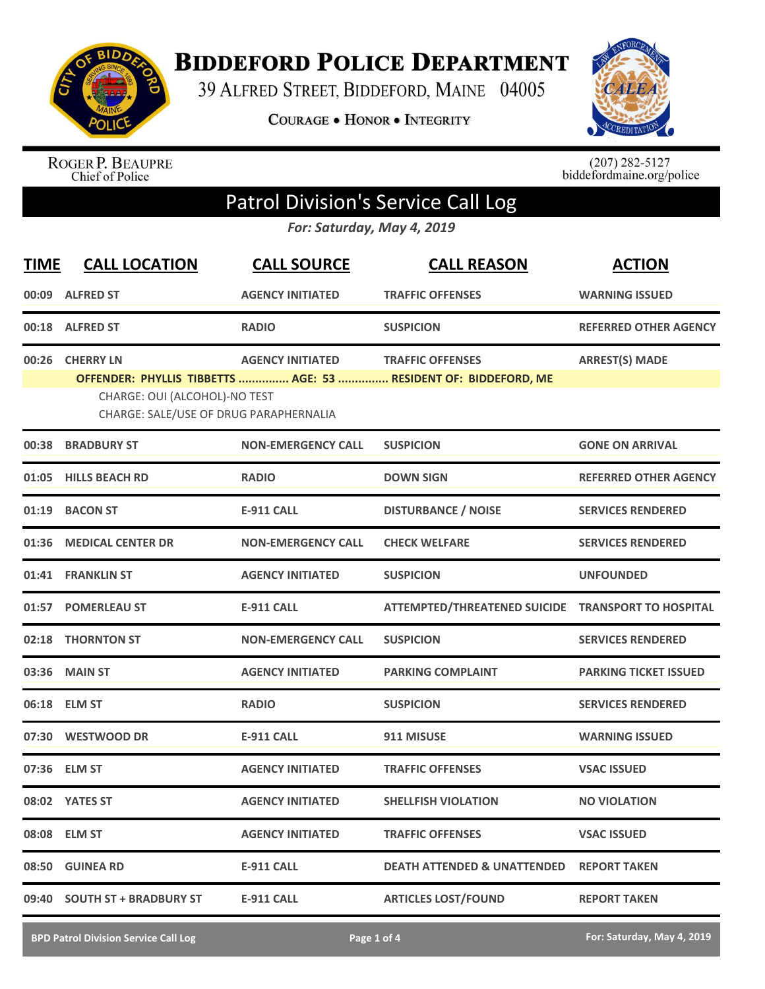

**BIDDEFORD POLICE DEPARTMENT** 

39 ALFRED STREET, BIDDEFORD, MAINE 04005

**COURAGE . HONOR . INTEGRITY** 



ROGER P. BEAUPRE<br>Chief of Police

 $(207)$  282-5127<br>biddefordmaine.org/police

## Patrol Division's Service Call Log

*For: Saturday, May 4, 2019*

| <b>TIME</b> | <b>CALL LOCATION</b>                                                                        | <b>CALL SOURCE</b>        | <b>CALL REASON</b>                                                                         | <b>ACTION</b>                |
|-------------|---------------------------------------------------------------------------------------------|---------------------------|--------------------------------------------------------------------------------------------|------------------------------|
|             | 00:09 ALFRED ST                                                                             | <b>AGENCY INITIATED</b>   | <b>TRAFFIC OFFENSES</b>                                                                    | <b>WARNING ISSUED</b>        |
|             | 00:18 ALFRED ST                                                                             | <b>RADIO</b>              | <b>SUSPICION</b>                                                                           | REFERRED OTHER AGENCY        |
| 00:26       | <b>CHERRY LN</b><br>CHARGE: OUI (ALCOHOL)-NO TEST<br>CHARGE: SALE/USE OF DRUG PARAPHERNALIA | <b>AGENCY INITIATED</b>   | <b>TRAFFIC OFFENSES</b><br>OFFENDER: PHYLLIS TIBBETTS  AGE: 53  RESIDENT OF: BIDDEFORD, ME | <b>ARREST(S) MADE</b>        |
| 00:38       | <b>BRADBURY ST</b>                                                                          | <b>NON-EMERGENCY CALL</b> | <b>SUSPICION</b>                                                                           | <b>GONE ON ARRIVAL</b>       |
| 01:05       | <b>HILLS BEACH RD</b>                                                                       | <b>RADIO</b>              | <b>DOWN SIGN</b>                                                                           | <b>REFERRED OTHER AGENCY</b> |
| 01:19       | <b>BACON ST</b>                                                                             | <b>E-911 CALL</b>         | <b>DISTURBANCE / NOISE</b>                                                                 | <b>SERVICES RENDERED</b>     |
|             | 01:36 MEDICAL CENTER DR                                                                     | <b>NON-EMERGENCY CALL</b> | <b>CHECK WELFARE</b>                                                                       | <b>SERVICES RENDERED</b>     |
|             | 01:41 FRANKLIN ST                                                                           | <b>AGENCY INITIATED</b>   | <b>SUSPICION</b>                                                                           | <b>UNFOUNDED</b>             |
|             | 01:57 POMERLEAU ST                                                                          | <b>E-911 CALL</b>         | ATTEMPTED/THREATENED SUICIDE TRANSPORT TO HOSPITAL                                         |                              |
| 02:18       | <b>THORNTON ST</b>                                                                          | <b>NON-EMERGENCY CALL</b> | <b>SUSPICION</b>                                                                           | <b>SERVICES RENDERED</b>     |
|             | 03:36 MAIN ST                                                                               | <b>AGENCY INITIATED</b>   | <b>PARKING COMPLAINT</b>                                                                   | <b>PARKING TICKET ISSUED</b> |
|             | 06:18 ELM ST                                                                                | <b>RADIO</b>              | <b>SUSPICION</b>                                                                           | <b>SERVICES RENDERED</b>     |
|             | 07:30 WESTWOOD DR                                                                           | <b>E-911 CALL</b>         | 911 MISUSE                                                                                 | <b>WARNING ISSUED</b>        |
|             | 07:36 ELM ST                                                                                | <b>AGENCY INITIATED</b>   | <b>TRAFFIC OFFENSES</b>                                                                    | <b>VSAC ISSUED</b>           |
|             | 08:02 YATES ST                                                                              | <b>AGENCY INITIATED</b>   | <b>SHELLFISH VIOLATION</b>                                                                 | <b>NO VIOLATION</b>          |
|             | 08:08 ELM ST                                                                                | <b>AGENCY INITIATED</b>   | <b>TRAFFIC OFFENSES</b>                                                                    | <b>VSAC ISSUED</b>           |
|             | 08:50 GUINEA RD                                                                             | E-911 CALL                | <b>DEATH ATTENDED &amp; UNATTENDED REPORT TAKEN</b>                                        |                              |
|             | 09:40 SOUTH ST + BRADBURY ST                                                                | <b>E-911 CALL</b>         | <b>ARTICLES LOST/FOUND</b>                                                                 | <b>REPORT TAKEN</b>          |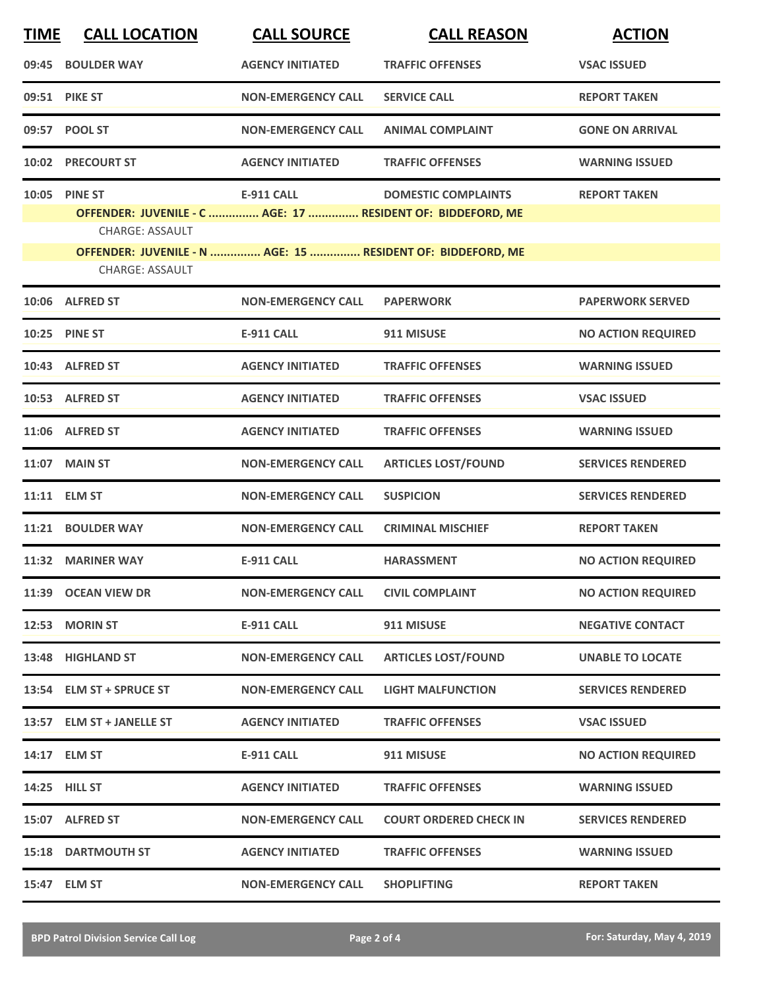| <b>TIME</b> | <b>CALL LOCATION</b>                                                                                                                                                                            | <b>CALL SOURCE</b>        | <b>CALL REASON</b>            | <b>ACTION</b>             |
|-------------|-------------------------------------------------------------------------------------------------------------------------------------------------------------------------------------------------|---------------------------|-------------------------------|---------------------------|
|             | 09:45 BOULDER WAY                                                                                                                                                                               | <b>AGENCY INITIATED</b>   | <b>TRAFFIC OFFENSES</b>       | <b>VSAC ISSUED</b>        |
|             | 09:51 PIKE ST                                                                                                                                                                                   | <b>NON-EMERGENCY CALL</b> | <b>SERVICE CALL</b>           | <b>REPORT TAKEN</b>       |
|             | 09:57 POOL ST                                                                                                                                                                                   | <b>NON-EMERGENCY CALL</b> | <b>ANIMAL COMPLAINT</b>       | <b>GONE ON ARRIVAL</b>    |
|             | 10:02 PRECOURT ST                                                                                                                                                                               | <b>AGENCY INITIATED</b>   | <b>TRAFFIC OFFENSES</b>       | <b>WARNING ISSUED</b>     |
|             | 10:05 PINE ST<br>OFFENDER: JUVENILE - C  AGE: 17  RESIDENT OF: BIDDEFORD, ME<br><b>CHARGE: ASSAULT</b><br>OFFENDER: JUVENILE - N  AGE: 15  RESIDENT OF: BIDDEFORD, ME<br><b>CHARGE: ASSAULT</b> | <b>E-911 CALL</b>         | <b>DOMESTIC COMPLAINTS</b>    | <b>REPORT TAKEN</b>       |
|             | 10:06 ALFRED ST                                                                                                                                                                                 | <b>NON-EMERGENCY CALL</b> | <b>PAPERWORK</b>              | <b>PAPERWORK SERVED</b>   |
|             | 10:25 PINE ST                                                                                                                                                                                   | <b>E-911 CALL</b>         | 911 MISUSE                    | <b>NO ACTION REQUIRED</b> |
|             | 10:43 ALFRED ST                                                                                                                                                                                 | <b>AGENCY INITIATED</b>   | <b>TRAFFIC OFFENSES</b>       | <b>WARNING ISSUED</b>     |
|             | 10:53 ALFRED ST                                                                                                                                                                                 | <b>AGENCY INITIATED</b>   | <b>TRAFFIC OFFENSES</b>       | <b>VSAC ISSUED</b>        |
|             | 11:06 ALFRED ST                                                                                                                                                                                 | <b>AGENCY INITIATED</b>   | <b>TRAFFIC OFFENSES</b>       | <b>WARNING ISSUED</b>     |
|             | 11:07 MAIN ST                                                                                                                                                                                   | <b>NON-EMERGENCY CALL</b> | <b>ARTICLES LOST/FOUND</b>    | <b>SERVICES RENDERED</b>  |
|             | 11:11 ELM ST                                                                                                                                                                                    | <b>NON-EMERGENCY CALL</b> | <b>SUSPICION</b>              | <b>SERVICES RENDERED</b>  |
|             | 11:21 BOULDER WAY                                                                                                                                                                               | <b>NON-EMERGENCY CALL</b> | <b>CRIMINAL MISCHIEF</b>      | <b>REPORT TAKEN</b>       |
|             | 11:32 MARINER WAY                                                                                                                                                                               | <b>E-911 CALL</b>         | <b>HARASSMENT</b>             | <b>NO ACTION REQUIRED</b> |
|             | 11:39 OCEAN VIEW DR                                                                                                                                                                             | <b>NON-EMERGENCY CALL</b> | <b>CIVIL COMPLAINT</b>        | <b>NO ACTION REQUIRED</b> |
|             | 12:53 MORIN ST                                                                                                                                                                                  | E-911 CALL                | 911 MISUSE                    | <b>NEGATIVE CONTACT</b>   |
|             | 13:48 HIGHLAND ST                                                                                                                                                                               | <b>NON-EMERGENCY CALL</b> | <b>ARTICLES LOST/FOUND</b>    | <b>UNABLE TO LOCATE</b>   |
|             | 13:54 ELM ST + SPRUCE ST                                                                                                                                                                        | <b>NON-EMERGENCY CALL</b> | <b>LIGHT MALFUNCTION</b>      | <b>SERVICES RENDERED</b>  |
|             | 13:57 ELM ST + JANELLE ST                                                                                                                                                                       | <b>AGENCY INITIATED</b>   | <b>TRAFFIC OFFENSES</b>       | <b>VSAC ISSUED</b>        |
|             | 14:17 ELM ST                                                                                                                                                                                    | <b>E-911 CALL</b>         | 911 MISUSE                    | <b>NO ACTION REQUIRED</b> |
|             | 14:25 HILL ST                                                                                                                                                                                   | <b>AGENCY INITIATED</b>   | <b>TRAFFIC OFFENSES</b>       | <b>WARNING ISSUED</b>     |
|             | 15:07 ALFRED ST                                                                                                                                                                                 | <b>NON-EMERGENCY CALL</b> | <b>COURT ORDERED CHECK IN</b> | <b>SERVICES RENDERED</b>  |
|             | <b>15:18 DARTMOUTH ST</b>                                                                                                                                                                       | <b>AGENCY INITIATED</b>   | <b>TRAFFIC OFFENSES</b>       | <b>WARNING ISSUED</b>     |
|             | 15:47 ELM ST                                                                                                                                                                                    | <b>NON-EMERGENCY CALL</b> | <b>SHOPLIFTING</b>            | <b>REPORT TAKEN</b>       |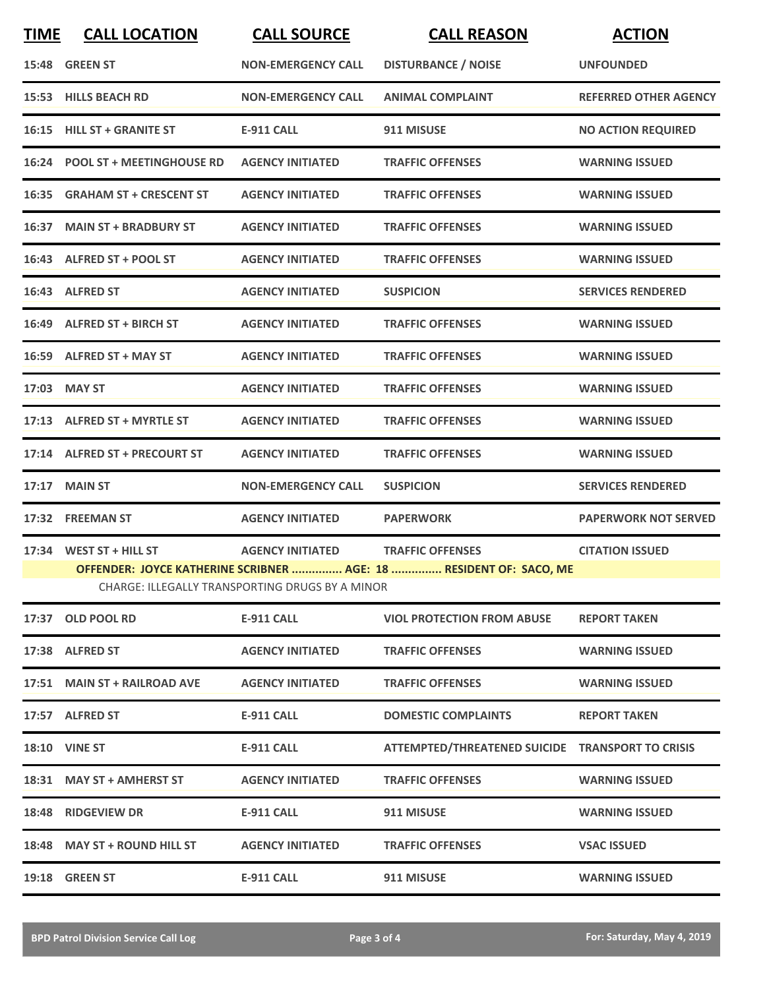| <b>TIME</b> | <b>CALL LOCATION</b>            | <b>CALL SOURCE</b>                              | <b>CALL REASON</b>                                                 | <b>ACTION</b>                |
|-------------|---------------------------------|-------------------------------------------------|--------------------------------------------------------------------|------------------------------|
|             | 15:48 GREEN ST                  | <b>NON-EMERGENCY CALL</b>                       | <b>DISTURBANCE / NOISE</b>                                         | <b>UNFOUNDED</b>             |
|             | 15:53 HILLS BEACH RD            | <b>NON-EMERGENCY CALL</b>                       | <b>ANIMAL COMPLAINT</b>                                            | <b>REFERRED OTHER AGENCY</b> |
|             | 16:15 HILL ST + GRANITE ST      | <b>E-911 CALL</b>                               | 911 MISUSE                                                         | <b>NO ACTION REQUIRED</b>    |
|             | 16:24 POOL ST + MEETINGHOUSE RD | <b>AGENCY INITIATED</b>                         | <b>TRAFFIC OFFENSES</b>                                            | <b>WARNING ISSUED</b>        |
|             | 16:35 GRAHAM ST + CRESCENT ST   | <b>AGENCY INITIATED</b>                         | <b>TRAFFIC OFFENSES</b>                                            | <b>WARNING ISSUED</b>        |
|             | 16:37 MAIN ST + BRADBURY ST     | <b>AGENCY INITIATED</b>                         | <b>TRAFFIC OFFENSES</b>                                            | <b>WARNING ISSUED</b>        |
|             | 16:43 ALFRED ST + POOL ST       | <b>AGENCY INITIATED</b>                         | <b>TRAFFIC OFFENSES</b>                                            | <b>WARNING ISSUED</b>        |
|             | 16:43 ALFRED ST                 | <b>AGENCY INITIATED</b>                         | <b>SUSPICION</b>                                                   | <b>SERVICES RENDERED</b>     |
|             | 16:49 ALFRED ST + BIRCH ST      | <b>AGENCY INITIATED</b>                         | <b>TRAFFIC OFFENSES</b>                                            | <b>WARNING ISSUED</b>        |
|             | 16:59 ALFRED ST + MAY ST        | <b>AGENCY INITIATED</b>                         | <b>TRAFFIC OFFENSES</b>                                            | <b>WARNING ISSUED</b>        |
|             | 17:03 MAY ST                    | <b>AGENCY INITIATED</b>                         | <b>TRAFFIC OFFENSES</b>                                            | <b>WARNING ISSUED</b>        |
|             | 17:13 ALFRED ST + MYRTLE ST     | <b>AGENCY INITIATED</b>                         | <b>TRAFFIC OFFENSES</b>                                            | <b>WARNING ISSUED</b>        |
|             | 17:14 ALFRED ST + PRECOURT ST   | <b>AGENCY INITIATED</b>                         | <b>TRAFFIC OFFENSES</b>                                            | <b>WARNING ISSUED</b>        |
|             | 17:17 MAIN ST                   | <b>NON-EMERGENCY CALL</b>                       | <b>SUSPICION</b>                                                   | <b>SERVICES RENDERED</b>     |
|             | 17:32 FREEMAN ST                | <b>AGENCY INITIATED</b>                         | <b>PAPERWORK</b>                                                   | <b>PAPERWORK NOT SERVED</b>  |
|             | 17:34 WEST ST + HILL ST         | <b>AGENCY INITIATED</b>                         | <b>TRAFFIC OFFENSES</b>                                            | <b>CITATION ISSUED</b>       |
|             |                                 | CHARGE: ILLEGALLY TRANSPORTING DRUGS BY A MINOR | OFFENDER: JOYCE KATHERINE SCRIBNER  AGE: 18  RESIDENT OF: SACO, ME |                              |
|             | 17:37 OLD POOL RD               | E-911 CALL                                      | <b>VIOL PROTECTION FROM ABUSE</b>                                  | <b>REPORT TAKEN</b>          |
|             | 17:38 ALFRED ST                 | <b>AGENCY INITIATED</b>                         | <b>TRAFFIC OFFENSES</b>                                            | <b>WARNING ISSUED</b>        |
|             | 17:51 MAIN ST + RAILROAD AVE    | <b>AGENCY INITIATED</b>                         | <b>TRAFFIC OFFENSES</b>                                            | <b>WARNING ISSUED</b>        |
|             | 17:57 ALFRED ST                 | E-911 CALL                                      | <b>DOMESTIC COMPLAINTS</b>                                         | <b>REPORT TAKEN</b>          |
|             | <b>18:10 VINE ST</b>            | <b>E-911 CALL</b>                               | ATTEMPTED/THREATENED SUICIDE TRANSPORT TO CRISIS                   |                              |
|             | 18:31 MAY ST + AMHERST ST       | <b>AGENCY INITIATED</b>                         | <b>TRAFFIC OFFENSES</b>                                            | <b>WARNING ISSUED</b>        |
|             | 18:48 RIDGEVIEW DR              | <b>E-911 CALL</b>                               | 911 MISUSE                                                         | <b>WARNING ISSUED</b>        |
|             | 18:48 MAY ST + ROUND HILL ST    | <b>AGENCY INITIATED</b>                         | <b>TRAFFIC OFFENSES</b>                                            | <b>VSAC ISSUED</b>           |
|             | 19:18 GREEN ST                  | E-911 CALL                                      | 911 MISUSE                                                         | <b>WARNING ISSUED</b>        |